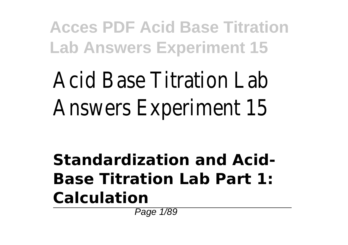Acid Base Titration Lab Answers Experiment 15

**Standardization and Acid-Base Titration Lab Part 1: Calculation**

Page 1/89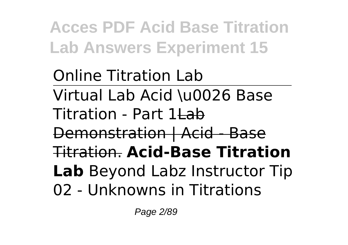Online Titration Lab Virtual Lab Acid \u0026 Base Titration - Part 1Lab Demonstration | Acid - Base Titration. **Acid-Base Titration Lab** Beyond Labz Instructor Tip 02 - Unknowns in Titrations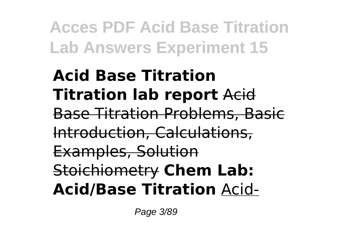**Acid Base Titration Titration lab report** Acid Base Titration Problems, Basic Introduction, Calculations, Examples, Solution Stoichiometry **Chem Lab: Acid/Base Titration** Acid-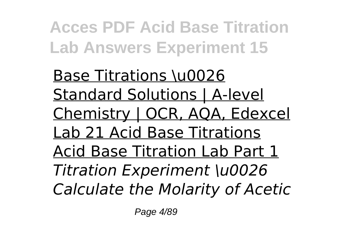**Base Titrations \u0026** Standard Solutions | A-level Chemistry | OCR, AQA, Edexcel Lab 21 Acid Base Titrations Acid Base Titration Lab Part 1 *Titration Experiment \u0026 Calculate the Molarity of Acetic*

Page 4/89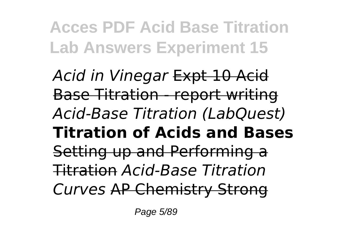*Acid in Vinegar* Expt 10 Acid Base Titration - report writing *Acid-Base Titration (LabQuest)* **Titration of Acids and Bases** Setting up and Performing a Titration *Acid-Base Titration Curves* AP Chemistry Strong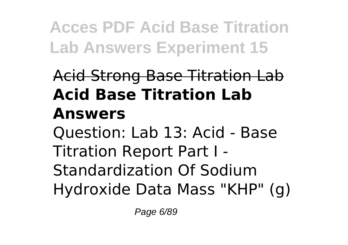# Acid Strong Base Titration Lab **Acid Base Titration Lab Answers** Question: Lab 13: Acid - Base Titration Report Part I -

Standardization Of Sodium Hydroxide Data Mass "KHP" (g)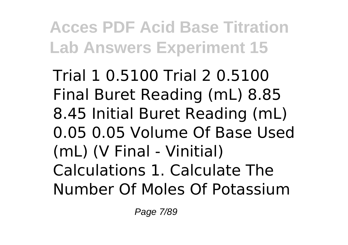Trial 1 0.5100 Trial 2 0.5100 Final Buret Reading (mL) 8.85 8.45 Initial Buret Reading (mL) 0.05 0.05 Volume Of Base Used (mL) (V Final - Vinitial) Calculations 1. Calculate The Number Of Moles Of Potassium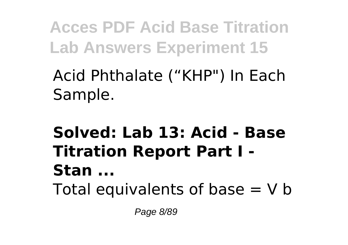### Acid Phthalate ("KHP") In Each Sample.

### **Solved: Lab 13: Acid - Base Titration Report Part I - Stan ...** Total equivalents of base  $= V b$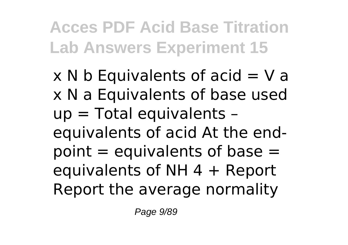$x \, N b$  Equivalents of acid  $N a$ x N a Equivalents of base used up = Total equivalents – equivalents of acid At the endpoint  $=$  equivalents of base  $=$ equivalents of NH  $4 +$  Report Report the average normality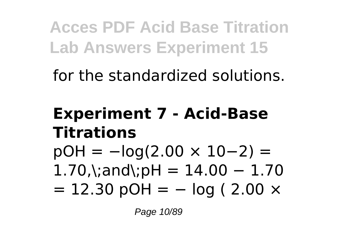for the standardized solutions.

### **Experiment 7 - Acid-Base Titrations**

 $pOH = -log(2.00 \times 10-2) =$  $1.70$ ,\;and\;pH =  $14.00 - 1.70$  $= 12.30$  pOH  $= -$  log (2.00  $\times$ 

Page 10/89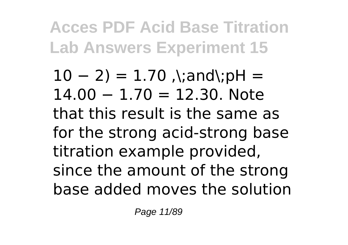$10 - 2$ ) = 1.70 ,\;and\;pH = 14.00 − 1.70 = 12.30. Note that this result is the same as for the strong acid-strong base titration example provided, since the amount of the strong base added moves the solution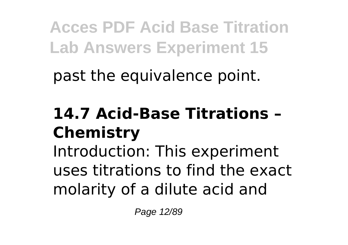past the equivalence point.

## **14.7 Acid-Base Titrations – Chemistry**

Introduction: This experiment uses titrations to find the exact molarity of a dilute acid and

Page 12/89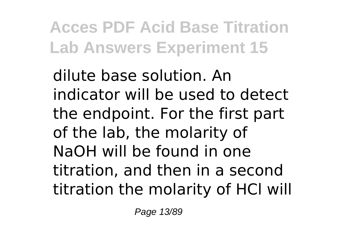dilute base solution. An indicator will be used to detect the endpoint. For the first part of the lab, the molarity of NaOH will be found in one titration, and then in a second titration the molarity of HCl will

Page 13/89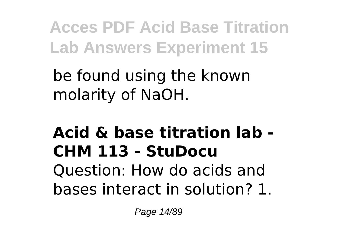be found using the known molarity of NaOH.

# **Acid & base titration lab - CHM 113 - StuDocu**

Question: How do acids and bases interact in solution? 1.

Page 14/89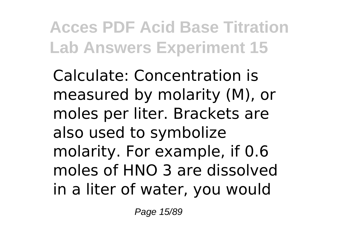Calculate: Concentration is measured by molarity (M), or moles per liter. Brackets are also used to symbolize molarity. For example, if 0.6 moles of HNO 3 are dissolved in a liter of water, you would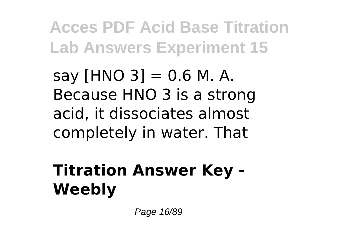say  $[HNO 3] = 0.6 M. A.$ Because HNO 3 is a strong acid, it dissociates almost completely in water. That

# **Titration Answer Key - Weebly**

Page 16/89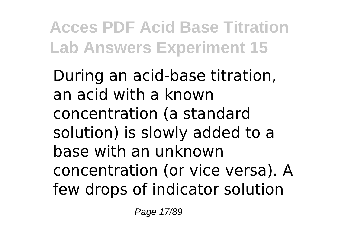During an acid-base titration, an acid with a known concentration (a standard solution) is slowly added to a base with an unknown concentration (or vice versa). A few drops of indicator solution

Page 17/89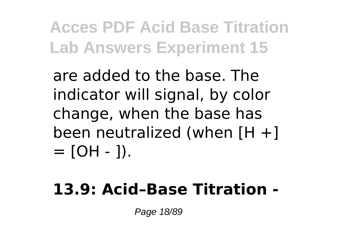are added to the base. The indicator will signal, by color change, when the base has been neutralized (when  $[H +]$  $=$  [OH - 1).

#### **13.9: Acid–Base Titration -**

Page 18/89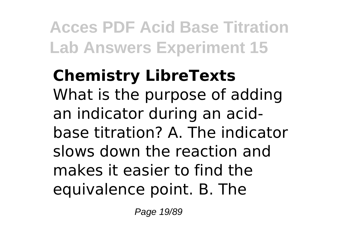#### **Chemistry LibreTexts** What is the purpose of adding an indicator during an acidbase titration? A. The indicator slows down the reaction and makes it easier to find the equivalence point. B. The

Page 19/89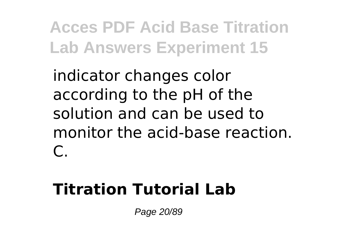indicator changes color according to the pH of the solution and can be used to monitor the acid-base reaction.  $\subset$ 

### **Titration Tutorial Lab**

Page 20/89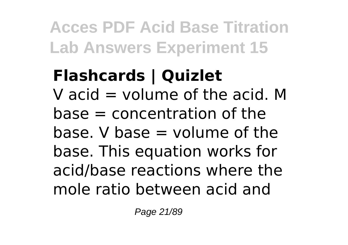### **Flashcards | Quizlet** V acid  $=$  volume of the acid. M  $base = concentration of the$  $base. V base = volume of the$ base. This equation works for acid/base reactions where the mole ratio between acid and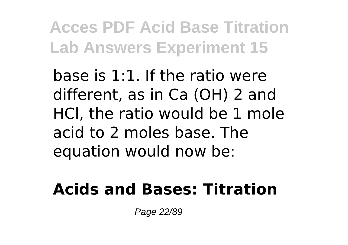base is 1:1. If the ratio were different, as in Ca (OH) 2 and HCl, the ratio would be 1 mole acid to 2 moles base. The equation would now be:

#### **Acids and Bases: Titration**

Page 22/89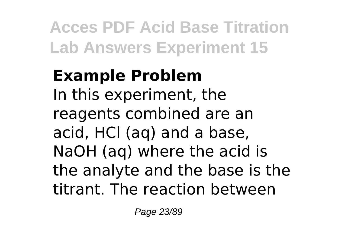### **Example Problem** In this experiment, the reagents combined are an acid, HCl (aq) and a base, NaOH (aq) where the acid is the analyte and the base is the titrant. The reaction between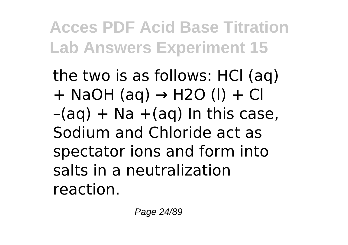the two is as follows: HCl (aq)  $+$  NaOH (aq)  $\rightarrow$  H2O (I)  $+$  Cl  $-(aq) + Na + (aq)$  In this case, Sodium and Chloride act as spectator ions and form into salts in a neutralization reaction.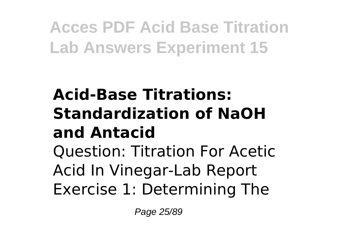# **Acid-Base Titrations: Standardization of NaOH and Antacid**

Question: Titration For Acetic Acid In Vinegar-Lab Report Exercise 1: Determining The

Page 25/89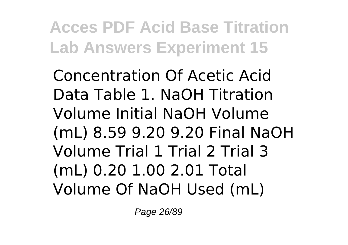Concentration Of Acetic Acid Data Table 1. NaOH Titration Volume Initial NaOH Volume (mL) 8.59 9.20 9.20 Final NaOH Volume Trial 1 Trial 2 Trial 3 (mL) 0.20 1.00 2.01 Total Volume Of NaOH Used (mL)

Page 26/89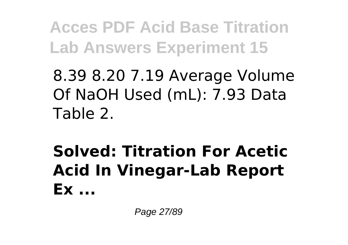8.39 8.20 7.19 Average Volume Of NaOH Used (mL): 7.93 Data Table 2.

**Solved: Titration For Acetic Acid In Vinegar-Lab Report Ex ...**

Page 27/89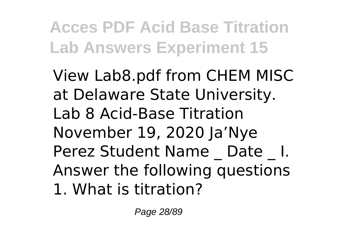View Lab8.pdf from CHEM MISC at Delaware State University. Lab 8 Acid-Base Titration November 19, 2020 Ja'Nye Perez Student Name Date I. Answer the following questions 1. What is titration?

Page 28/89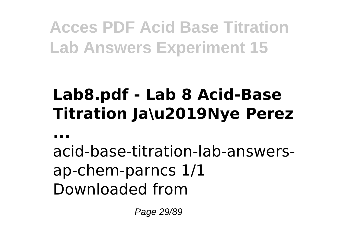### **Lab8.pdf - Lab 8 Acid-Base Titration Ja\u2019Nye Perez**

**...**

acid-base-titration-lab-answersap-chem-parncs 1/1 Downloaded from

Page 29/89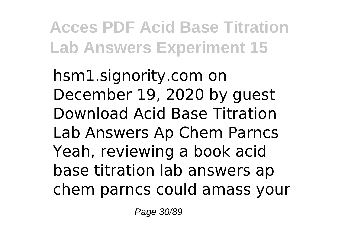hsm1.signority.com on December 19, 2020 by guest Download Acid Base Titration Lab Answers Ap Chem Parncs Yeah, reviewing a book acid base titration lab answers ap chem parncs could amass your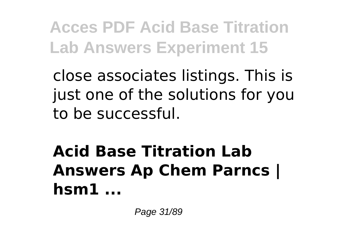close associates listings. This is just one of the solutions for you to be successful.

### **Acid Base Titration Lab Answers Ap Chem Parncs | hsm1 ...**

Page 31/89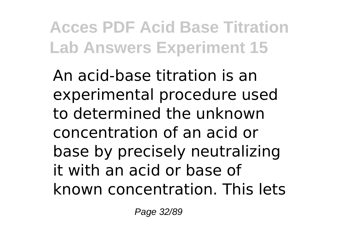An acid-base titration is an experimental procedure used to determined the unknown concentration of an acid or base by precisely neutralizing it with an acid or base of known concentration. This lets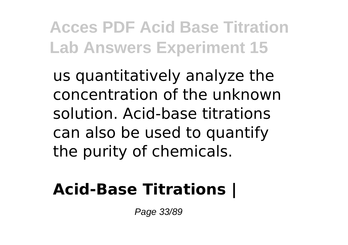us quantitatively analyze the concentration of the unknown solution. Acid-base titrations can also be used to quantify the purity of chemicals.

#### **Acid-Base Titrations |**

Page 33/89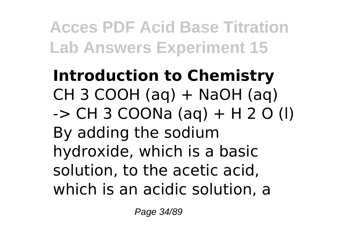**Introduction to Chemistry** CH 3 COOH (aq)  $+$  NaOH (aq)  $\rightarrow$  CH 3 COONa (ag) + H 2 O (l) By adding the sodium hydroxide, which is a basic solution, to the acetic acid, which is an acidic solution, a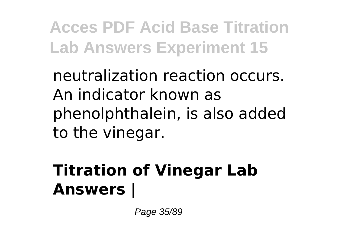neutralization reaction occurs. An indicator known as phenolphthalein, is also added to the vinegar.

## **Titration of Vinegar Lab Answers |**

Page 35/89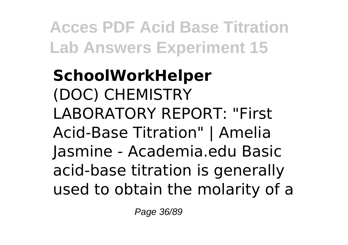### **SchoolWorkHelper** (DOC) CHEMISTRY LABORATORY REPORT: "First Acid-Base Titration" | Amelia Jasmine - Academia.edu Basic acid-base titration is generally used to obtain the molarity of a

Page 36/89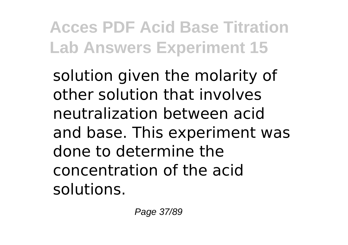solution given the molarity of other solution that involves neutralization between acid and base. This experiment was done to determine the concentration of the acid solutions.

Page 37/89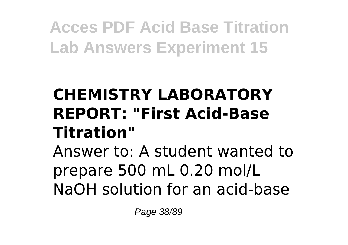## **CHEMISTRY LABORATORY REPORT: "First Acid-Base Titration"**

Answer to: A student wanted to prepare 500 mL 0.20 mol/L NaOH solution for an acid-base

Page 38/89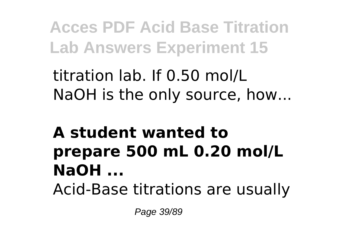titration lab. If 0.50 mol/L NaOH is the only source, how...

#### **A student wanted to prepare 500 mL 0.20 mol/L NaOH ...** Acid-Base titrations are usually

Page 39/89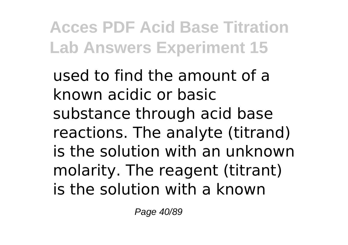used to find the amount of a known acidic or basic substance through acid base reactions. The analyte (titrand) is the solution with an unknown molarity. The reagent (titrant) is the solution with a known

Page 40/89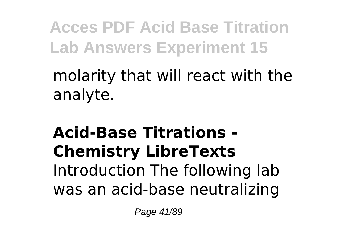molarity that will react with the analyte.

### **Acid-Base Titrations - Chemistry LibreTexts** Introduction The following lab was an acid-base neutralizing

Page 41/89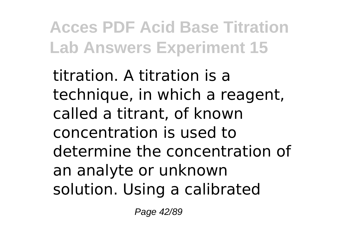titration. A titration is a technique, in which a reagent, called a titrant, of known concentration is used to determine the concentration of an analyte or unknown solution. Using a calibrated

Page 42/89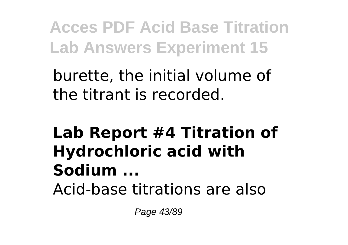burette, the initial volume of the titrant is recorded.

### **Lab Report #4 Titration of Hydrochloric acid with Sodium ...** Acid-base titrations are also

Page 43/89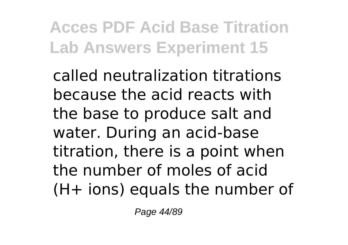called neutralization titrations because the acid reacts with the base to produce salt and water. During an acid-base titration, there is a point when the number of moles of acid (H+ ions) equals the number of

Page 44/89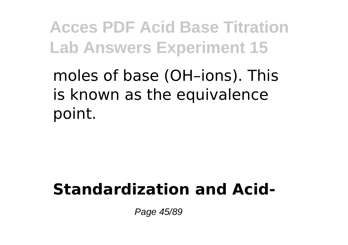moles of base (OH–ions). This is known as the equivalence point.

### **Standardization and Acid-**

Page 45/89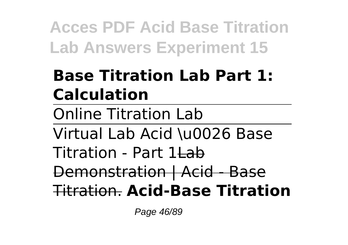## **Base Titration Lab Part 1: Calculation**

Online Titration Lab

Virtual Lab Acid \u0026 Base

Titration - Part 1Lab

Demonstration | Acid - Base Titration. **Acid-Base Titration**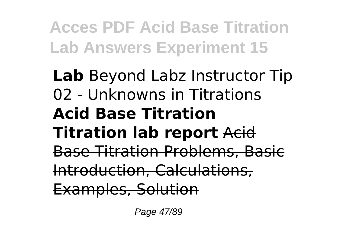### **Lab** Beyond Labz Instructor Tip 02 - Unknowns in Titrations **Acid Base Titration Titration lab report** Acid Base Titration Problems, Basic Introduction, Calculations, Examples, Solution

Page 47/89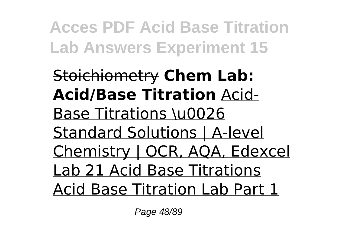Stoichiometry **Chem Lab: Acid/Base Titration** Acid-Base Titrations \u0026 Standard Solutions | A-level Chemistry | OCR, AQA, Edexcel Lab 21 Acid Base Titrations Acid Base Titration Lab Part 1

Page 48/89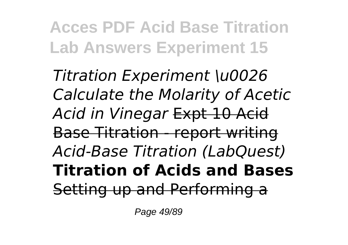*Titration Experiment \u0026 Calculate the Molarity of Acetic Acid in Vinegar* Expt 10 Acid Base Titration - report writing *Acid-Base Titration (LabQuest)* **Titration of Acids and Bases** Setting up and Performing a

Page 49/89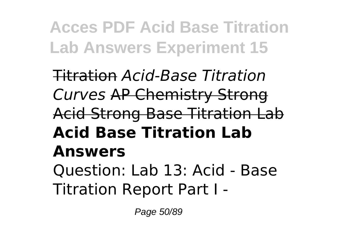Titration *Acid-Base Titration Curves* AP Chemistry Strong Acid Strong Base Titration Lab **Acid Base Titration Lab Answers** Question: Lab 13: Acid - Base Titration Report Part I -

Page 50/89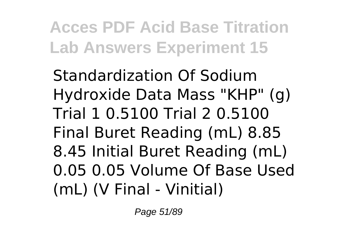Standardization Of Sodium Hydroxide Data Mass "KHP" (g) Trial 1 0.5100 Trial 2 0.5100 Final Buret Reading (mL) 8.85 8.45 Initial Buret Reading (mL) 0.05 0.05 Volume Of Base Used (mL) (V Final - Vinitial)

Page 51/89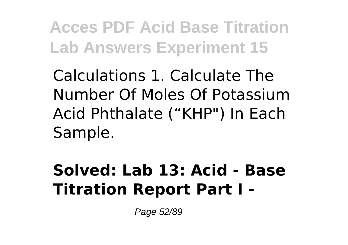Calculations 1. Calculate The Number Of Moles Of Potassium Acid Phthalate ("KHP") In Each Sample.

### **Solved: Lab 13: Acid - Base Titration Report Part I -**

Page 52/89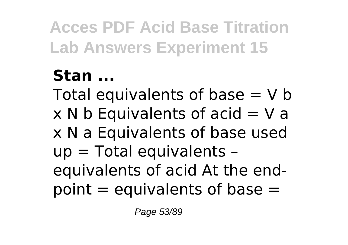# **Stan ...**

Total equivalents of base  $= V b$  $x \, N b$  Equivalents of acid = V a x N a Equivalents of base used up = Total equivalents – equivalents of acid At the endpoint  $=$  equivalents of base  $=$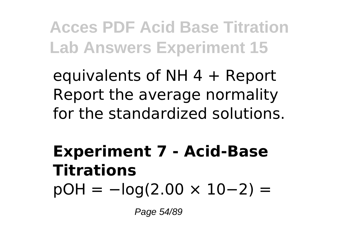equivalents of NH  $4 +$  Report Report the average normality for the standardized solutions.

## **Experiment 7 - Acid-Base Titrations**  $pOH = -log(2.00 \times 10-2) =$

Page 54/89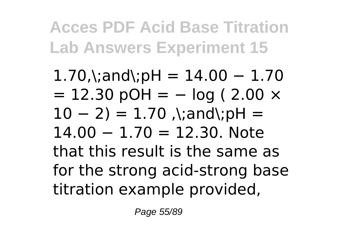$1.70$ ,\;and\;pH =  $14.00 - 1.70$  $= 12.30$  pOH  $= -$  log (2.00  $\times$  $10 - 2$ ) = 1.70 ,\;and\;pH = 14.00 − 1.70 = 12.30. Note that this result is the same as for the strong acid-strong base titration example provided,

Page 55/89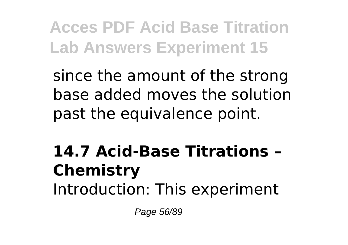since the amount of the strong base added moves the solution past the equivalence point.

### **14.7 Acid-Base Titrations – Chemistry** Introduction: This experiment

Page 56/89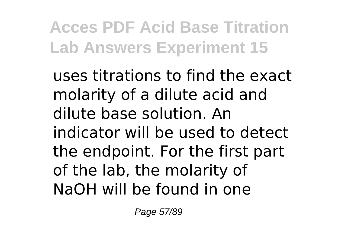uses titrations to find the exact molarity of a dilute acid and dilute base solution. An indicator will be used to detect the endpoint. For the first part of the lab, the molarity of NaOH will be found in one

Page 57/89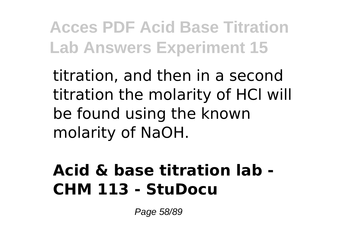titration, and then in a second titration the molarity of HCl will be found using the known molarity of NaOH.

### **Acid & base titration lab - CHM 113 - StuDocu**

Page 58/89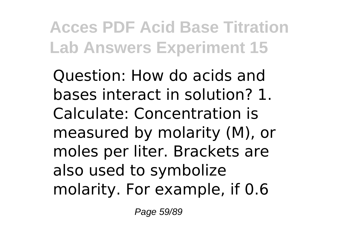Question: How do acids and bases interact in solution? 1. Calculate: Concentration is measured by molarity (M), or moles per liter. Brackets are also used to symbolize molarity. For example, if 0.6

Page 59/89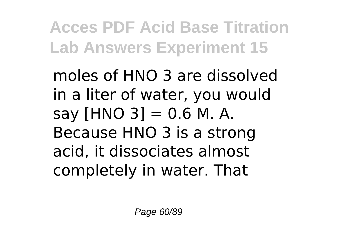moles of HNO 3 are dissolved in a liter of water, you would say  $[HNO 3] = 0.6 M. A.$ Because HNO 3 is a strong acid, it dissociates almost completely in water. That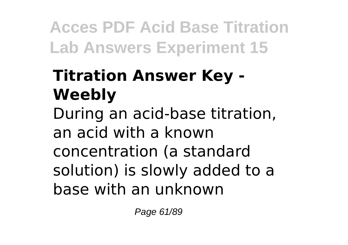# **Titration Answer Key - Weebly**

During an acid-base titration, an acid with a known concentration (a standard solution) is slowly added to a base with an unknown

Page 61/89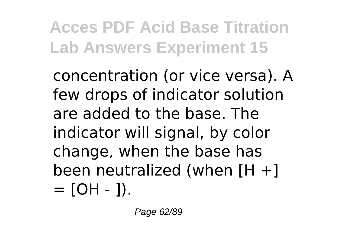concentration (or vice versa). A few drops of indicator solution are added to the base. The indicator will signal, by color change, when the base has been neutralized (when [H +]  $=$  [OH - ]).

Page 62/89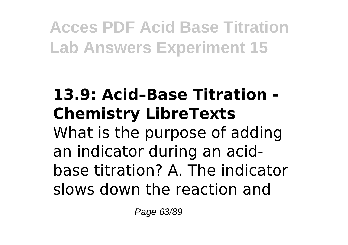### **13.9: Acid–Base Titration - Chemistry LibreTexts** What is the purpose of adding an indicator during an acidbase titration? A. The indicator slows down the reaction and

Page 63/89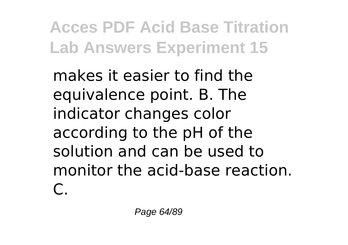makes it easier to find the equivalence point. B. The indicator changes color according to the pH of the solution and can be used to monitor the acid-base reaction.  $\mathsf{C}$ .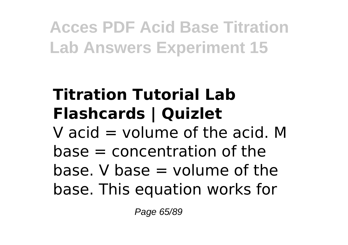# **Titration Tutorial Lab Flashcards | Quizlet**

V acid  $=$  volume of the acid. M  $base = concentration of the$ base. V base  $=$  volume of the base. This equation works for

Page 65/89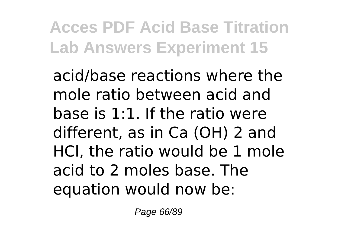acid/base reactions where the mole ratio between acid and base is 1:1. If the ratio were different, as in Ca (OH) 2 and HCl, the ratio would be 1 mole acid to 2 moles base. The equation would now be:

Page 66/89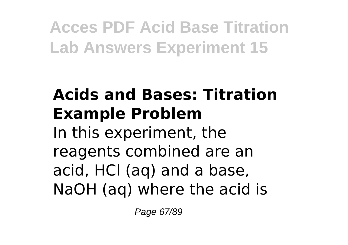## **Acids and Bases: Titration Example Problem**

In this experiment, the reagents combined are an acid, HCl (aq) and a base, NaOH (aq) where the acid is

Page 67/89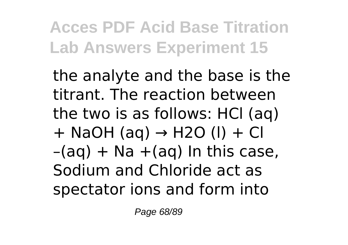the analyte and the base is the titrant. The reaction between the two is as follows: HCl (aq)  $+$  NaOH (aq)  $\rightarrow$  H2O (I)  $+$  Cl  $-(aq) + Na + (aq)$  In this case, Sodium and Chloride act as spectator ions and form into

Page 68/89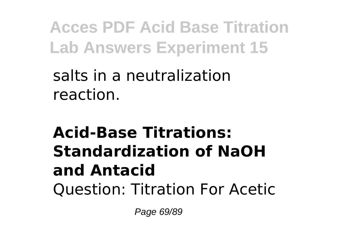### salts in a neutralization reaction.

### **Acid-Base Titrations: Standardization of NaOH and Antacid** Question: Titration For Acetic

Page 69/89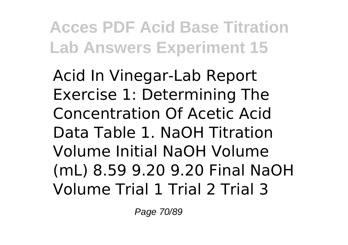Acid In Vinegar-Lab Report Exercise 1: Determining The Concentration Of Acetic Acid Data Table 1. NaOH Titration Volume Initial NaOH Volume (mL) 8.59 9.20 9.20 Final NaOH Volume Trial 1 Trial 2 Trial 3

Page 70/89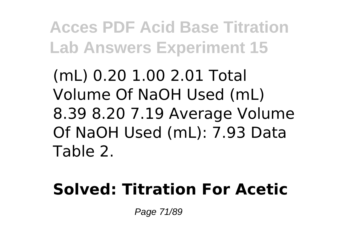(mL) 0.20 1.00 2.01 Total Volume Of NaOH Used (mL) 8.39 8.20 7.19 Average Volume Of NaOH Used (mL): 7.93 Data Table 2.

### **Solved: Titration For Acetic**

Page 71/89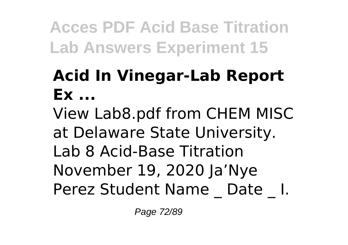## **Acid In Vinegar-Lab Report Ex ...**

View Lab8.pdf from CHEM MISC at Delaware State University. Lab 8 Acid-Base Titration November 19, 2020 Ja'Nye Perez Student Name Date I.

Page 72/89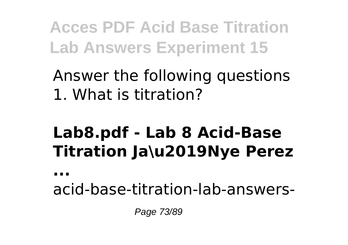#### Answer the following questions 1. What is titration?

### **Lab8.pdf - Lab 8 Acid-Base Titration Ja\u2019Nye Perez**

**...**

acid-base-titration-lab-answers-

Page 73/89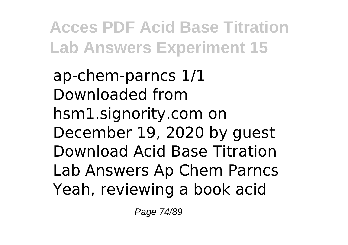ap-chem-parncs 1/1 Downloaded from hsm1.signority.com on December 19, 2020 by guest Download Acid Base Titration Lab Answers Ap Chem Parncs Yeah, reviewing a book acid

Page 74/89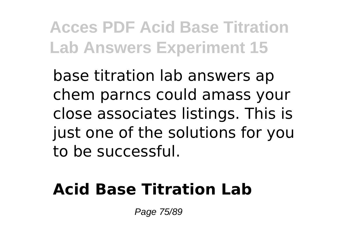base titration lab answers ap chem parncs could amass your close associates listings. This is just one of the solutions for you to be successful.

#### **Acid Base Titration Lab**

Page 75/89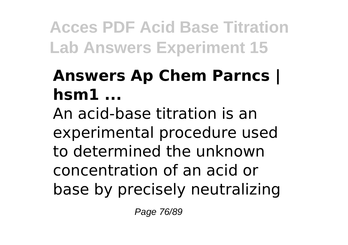## **Answers Ap Chem Parncs | hsm1 ...**

An acid-base titration is an experimental procedure used to determined the unknown concentration of an acid or base by precisely neutralizing

Page 76/89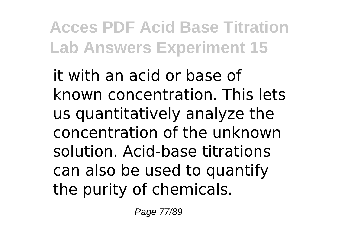it with an acid or base of known concentration. This lets us quantitatively analyze the concentration of the unknown solution. Acid-base titrations can also be used to quantify the purity of chemicals.

Page 77/89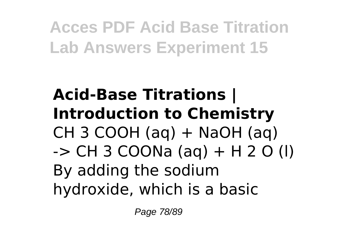### **Acid-Base Titrations | Introduction to Chemistry** CH 3 COOH (aq)  $+$  NaOH (aq)  $-$  > CH 3 COONa (ag) + H 2 O (l) By adding the sodium hydroxide, which is a basic

Page 78/89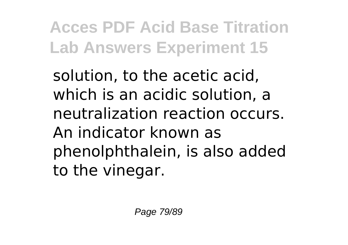solution, to the acetic acid, which is an acidic solution, a neutralization reaction occurs. An indicator known as phenolphthalein, is also added to the vinegar.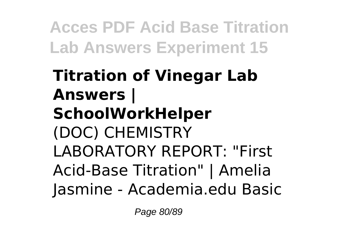### **Titration of Vinegar Lab Answers | SchoolWorkHelper** (DOC) CHEMISTRY LABORATORY REPORT: "First Acid-Base Titration" | Amelia Jasmine - Academia.edu Basic

Page 80/89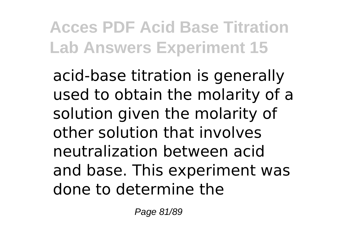acid-base titration is generally used to obtain the molarity of a solution given the molarity of other solution that involves neutralization between acid and base. This experiment was done to determine the

Page 81/89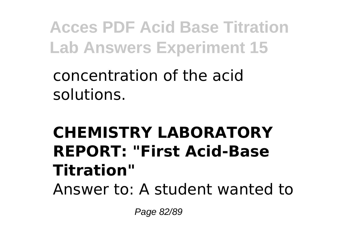concentration of the acid solutions.

### **CHEMISTRY LABORATORY REPORT: "First Acid-Base Titration"** Answer to: A student wanted to

Page 82/89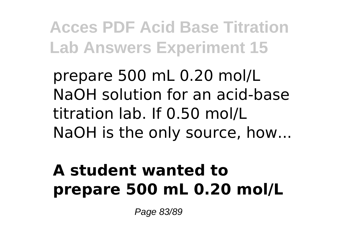prepare 500 mL 0.20 mol/L NaOH solution for an acid-base titration lab. If 0.50 mol/L NaOH is the only source, how...

### **A student wanted to prepare 500 mL 0.20 mol/L**

Page 83/89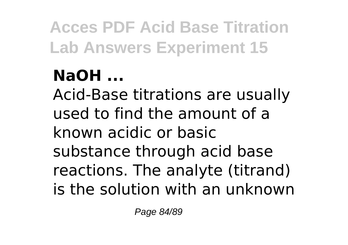### **NaOH ...**

Acid-Base titrations are usually used to find the amount of a known acidic or basic substance through acid base reactions. The analyte (titrand) is the solution with an unknown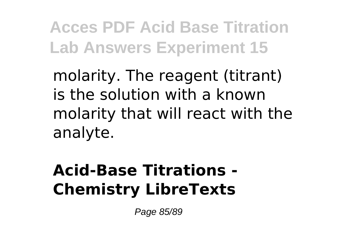molarity. The reagent (titrant) is the solution with a known molarity that will react with the analyte.

### **Acid-Base Titrations - Chemistry LibreTexts**

Page 85/89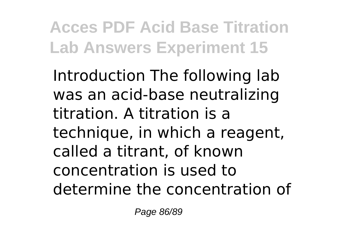Introduction The following lab was an acid-base neutralizing titration. A titration is a technique, in which a reagent, called a titrant, of known concentration is used to determine the concentration of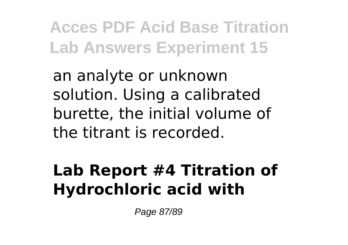an analyte or unknown solution. Using a calibrated burette, the initial volume of the titrant is recorded.

#### **Lab Report #4 Titration of Hydrochloric acid with**

Page 87/89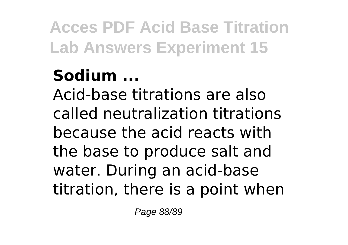## **Sodium ...**

Acid-base titrations are also called neutralization titrations because the acid reacts with the base to produce salt and water. During an acid-base titration, there is a point when